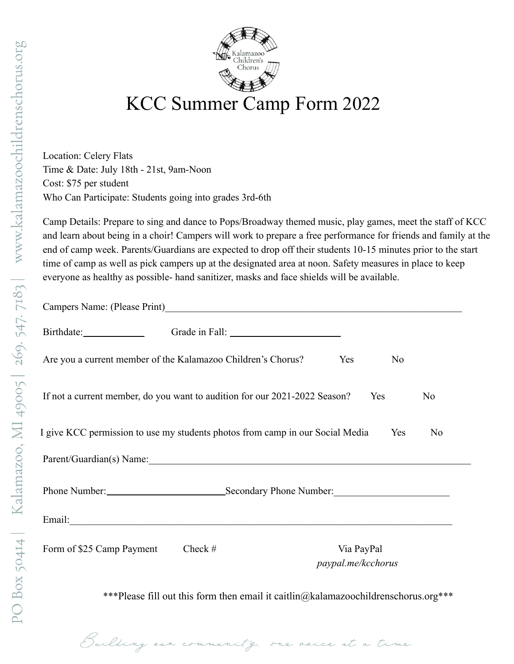



## KCC Summer Camp Form 2022

Location: Celery Flats Time & Date: July 18th - 21st, 9am-Noon Cost: \$75 per student Who Can Participate: Students going into grades 3rd-6th

Building

Camp Details: Prepare to sing and dance to Pops/Broadway themed music, play games, meet the staff of KCC and learn about being in a choir! Campers will work to prepare a free performance for friends and family at the end of camp week. Parents/Guardians are expected to drop off their students 10-15 minutes prior to the start time of camp as well as pick campers up at the designated area at noon. Safety measures in place to keep everyone as healthy as possible- hand sanitizer, masks and face shields will be available.

| N <sub>0</sub>                                                                                                                                                                                                                 |  |  |
|--------------------------------------------------------------------------------------------------------------------------------------------------------------------------------------------------------------------------------|--|--|
| N <sub>0</sub>                                                                                                                                                                                                                 |  |  |
| N <sub>0</sub><br>Yes                                                                                                                                                                                                          |  |  |
| Parent/Guardian(s) Name: 1988 and 2008 and 2008 and 2008 and 2008 and 2008 and 2008 and 2008 and 2008 and 2008 and 2008 and 2008 and 2008 and 2008 and 2008 and 2008 and 2008 and 2008 and 2008 and 2008 and 2008 and 2008 and |  |  |
| Phone Number: Secondary Phone Number:                                                                                                                                                                                          |  |  |
|                                                                                                                                                                                                                                |  |  |
| Via PayPal<br>paypal.me/kcchorus                                                                                                                                                                                               |  |  |
|                                                                                                                                                                                                                                |  |  |
|                                                                                                                                                                                                                                |  |  |

vaice at a time